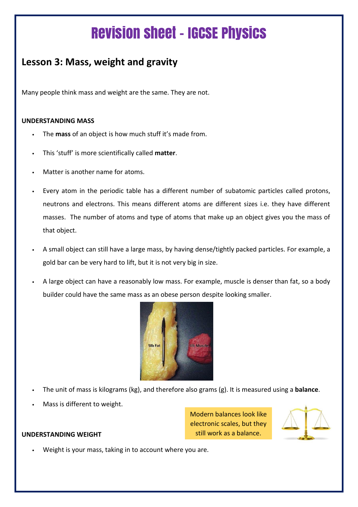# Revision sheet – IGCSE Physics

## **Lesson 3: Mass, weight and gravity**

Many people think mass and weight are the same. They are not.

### **UNDERSTANDING MASS**

- The **mass** of an object is how much stuff it's made from.
- This 'stuff' is more scientifically called **matter**.
- Matter is another name for atoms.
- Every atom in the periodic table has a different number of subatomic particles called protons, neutrons and electrons. This means different atoms are different sizes i.e. they have different masses. The number of atoms and type of atoms that make up an object gives you the mass of that object.
- A small object can still have a large mass, by having dense/tightly packed particles. For example, a gold bar can be very hard to lift, but it is not very big in size.
- A large object can have a reasonably low mass. For example, muscle is denser than fat, so a body builder could have the same mass as an obese person despite looking smaller.



- The unit of mass is kilograms (kg), and therefore also grams (g). It is measured using a **balance**.
- Mass is different to weight.

#### **UNDERSTANDING WEIGHT**

Modern balances look like electronic scales, but they still work as a balance.



Weight is your mass, taking in to account where you are.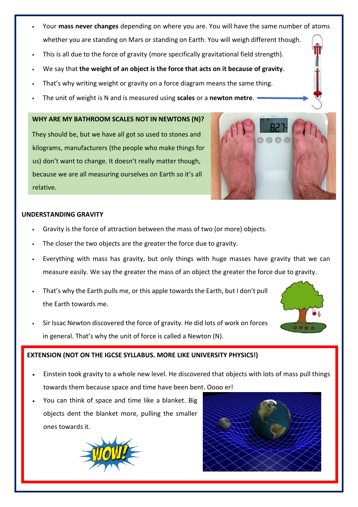- Your **mass never changes** depending on where you are. You will have the same number of atoms whether you are standing on Mars or standing on Earth. You will weigh different though.
- This is all due to the force of gravity (more specifically gravitational field strength).
- We say that **the weight of an object is the force that acts on it because of gravity**.
- That's why writing weight or gravity on a force diagram means the same thing.
- The unit of weight is N and is measured using **scales** or a **newton metre**.

#### **WHY ARE MY BATHROOM SCALES NOT IN NEWTONS (N)?**

They should be, but we have all got so used to stones and kilograms, manufacturers (the people who make things for us) don't want to change. It doesn't really matter though, because we are all measuring ourselves on Earth so it's all relative.



#### **UNDERSTANDING GRAVITY**

- Gravity is the force of attraction between the mass of two (or more) objects.
- The closer the two objects are the greater the force due to gravity.
- Everything with mass has gravity, but only things with huge masses have gravity that we can measure easily. We say the greater the mass of an object the greater the force due to gravity.
- That's why the Earth pulls me, or this apple towards the Earth, but I don't pull the Earth towards me.
- Sir Issac Newton discovered the force of gravity. He did lots of work on forces in general. That's why the unit of force is called a Newton (N).

#### **EXTENSION (NOT ON THE IGCSE SYLLABUS. MORE LIKE UNIVERSITY PHYSICS!)**

- Einstein took gravity to a whole new level. He discovered that objects with lots of mass pull things towards them because space and time have been bent. Oooo er!
- You can think of space and time like a blanket. Big objects dent the blanket more, pulling the smaller ones towards it.





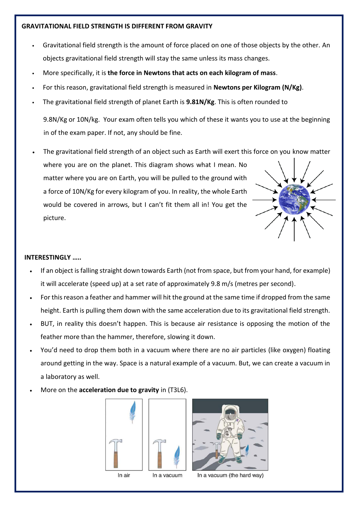#### **GRAVITATIONAL FIELD STRENGTH IS DIFFERENT FROM GRAVITY**

- Gravitational field strength is the amount of force placed on one of those objects by the other. An objects gravitational field strength will stay the same unless its mass changes.
- More specifically, it is **the force in Newtons that acts on each kilogram of mass**.
- For this reason, gravitational field strength is measured in **Newtons per Kilogram (N/Kg)**.
- The gravitational field strength of planet Earth is **9.81N/Kg**. This is often rounded to

9.8N/Kg or 10N/kg. Your exam often tells you which of these it wants you to use at the beginning in of the exam paper. If not, any should be fine.

• The gravitational field strength of an object such as Earth will exert this force on you know matter where you are on the planet. This diagram shows what I mean. No matter where you are on Earth, you will be pulled to the ground with a force of 10N/Kg for every kilogram of you. In reality, the whole Earth would be covered in arrows, but I can't fit them all in! You get the picture.

#### **INTERESTINGLY …..**

- If an object is falling straight down towards Earth (not from space, but from your hand, for example) it will accelerate (speed up) at a set rate of approximately 9.8 m/s (metres per second).
- For this reason a feather and hammer will hit the ground at the same time if dropped from the same height. Earth is pulling them down with the same acceleration due to its gravitational field strength.
- BUT, in reality this doesn't happen. This is because air resistance is opposing the motion of the feather more than the hammer, therefore, slowing it down.
- You'd need to drop them both in a vacuum where there are no air particles (like oxygen) floating around getting in the way. Space is a natural example of a vacuum. But, we can create a vacuum in a laboratory as well.
- More on the **acceleration due to gravity** in (T3L6).





In a vacuum (the hard way)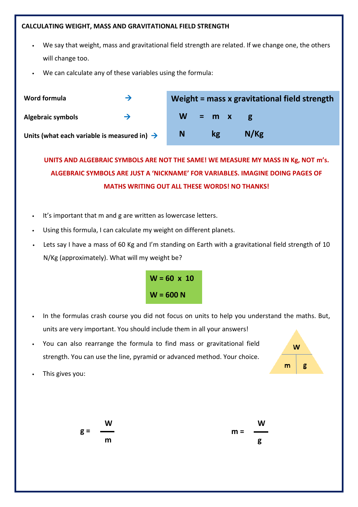#### **CALCULATING WEIGHT, MASS AND GRAVITATIONAL FIELD STRENGTH**

- We say that weight, mass and gravitational field strength are related. If we change one, the others will change too.
- We can calculate any of these variables using the formula:

| Word formula                                            | →             |           |    | Weight = mass x gravitational field strength |
|---------------------------------------------------------|---------------|-----------|----|----------------------------------------------|
| <b>Algebraic symbols</b>                                | $\rightarrow$ | $W = m x$ |    |                                              |
| Units (what each variable is measured in) $\rightarrow$ |               | N         | kg | N/Kg                                         |

**UNITS AND ALGEBRAIC SYMBOLS ARE NOT THE SAME! WE MEASURE MY MASS IN Kg, NOT m's. ALGEBRAIC SYMBOLS ARE JUST A 'NICKNAME' FOR VARIABLES. IMAGINE DOING PAGES OF MATHS WRITING OUT ALL THESE WORDS! NO THANKS!**

- It's important that m and g are written as lowercase letters.
- Using this formula, I can calculate my weight on different planets.
- Lets say I have a mass of 60 Kg and I'm standing on Earth with a gravitational field strength of 10 N/Kg (approximately). What will my weight be?



- In the formulas crash course you did not focus on units to help you understand the maths. But, units are very important. You should include them in all your answers!
- You can also rearrange the formula to find mass or gravitational field strength. You can use the line, pyramid or advanced method. Your choice.



This gives you: